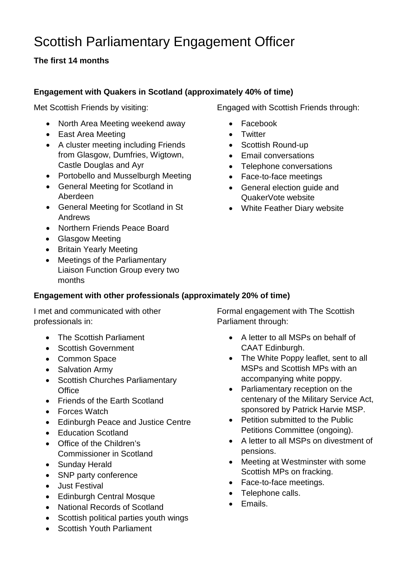# Scottish Parliamentary Engagement Officer

# **The first 14 months**

# **Engagement with Quakers in Scotland (approximately 40% of time)**

Met Scottish Friends by visiting:

- North Area Meeting weekend away
- East Area Meeting
- A cluster meeting including Friends from Glasgow, Dumfries, Wigtown, Castle Douglas and Ayr
- Portobello and Musselburgh Meeting
- General Meeting for Scotland in Aberdeen
- General Meeting for Scotland in St Andrews
- Northern Friends Peace Board
- Glasgow Meeting
- Britain Yearly Meeting
- Meetings of the Parliamentary Liaison Function Group every two months

## **Engagement with other professionals (approximately 20% of time)**

I met and communicated with other professionals in:

- The Scottish Parliament
- Scottish Government
- Common Space
- Salvation Army
- Scottish Churches Parliamentary **Office**
- Friends of the Farth Scotland
- Forces Watch
- Edinburgh Peace and Justice Centre
- Education Scotland
- Office of the Children's Commissioner in Scotland
- Sunday Herald
- SNP party conference
- Just Festival
- Edinburgh Central Mosque
- National Records of Scotland
- Scottish political parties youth wings
- Scottish Youth Parliament

Engaged with Scottish Friends through:

- Facebook
- Twitter
- Scottish Round-up
- Email conversations
- Telephone conversations
- Face-to-face meetings
- General election guide and QuakerVote website
- White Feather Diary website

Formal engagement with The Scottish Parliament through:

- A letter to all MSPs on behalf of CAAT Edinburgh.
- The White Poppy leaflet, sent to all MSPs and Scottish MPs with an accompanying white poppy.
- Parliamentary reception on the centenary of the Military Service Act, sponsored by Patrick Harvie MSP.
- Petition submitted to the Public Petitions Committee (ongoing).
- A letter to all MSPs on divestment of pensions.
- Meeting at Westminster with some Scottish MPs on fracking.
- Face-to-face meetings.
- Telephone calls.
- Emails.